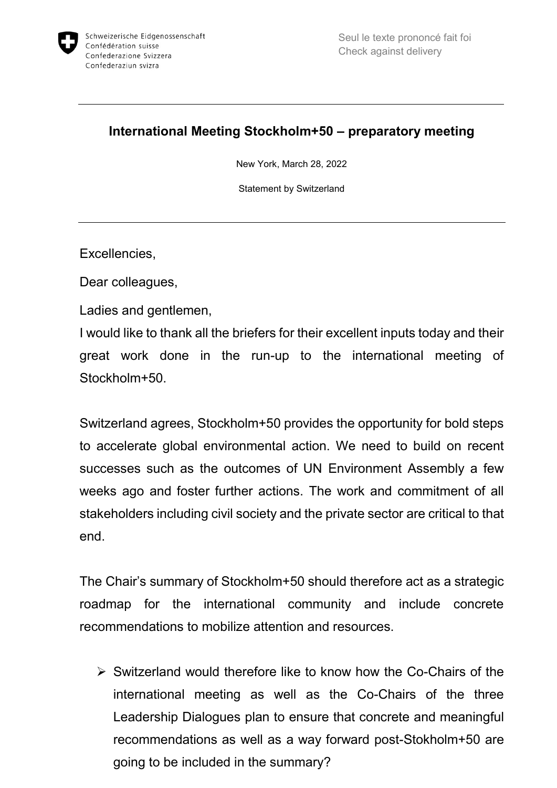

## **International Meeting Stockholm+50 – preparatory meeting**

New York, March 28, 2022

Statement by Switzerland

Excellencies,

Dear colleagues,

Ladies and gentlemen,

I would like to thank all the briefers for their excellent inputs today and their great work done in the run-up to the international meeting of Stockholm+50.

Switzerland agrees, Stockholm+50 provides the opportunity for bold steps to accelerate global environmental action. We need to build on recent successes such as the outcomes of UN Environment Assembly a few weeks ago and foster further actions. The work and commitment of all stakeholders including civil society and the private sector are critical to that end.

The Chair's summary of Stockholm+50 should therefore act as a strategic roadmap for the international community and include concrete recommendations to mobilize attention and resources.

 $\triangleright$  Switzerland would therefore like to know how the Co-Chairs of the international meeting as well as the Co-Chairs of the three Leadership Dialogues plan to ensure that concrete and meaningful recommendations as well as a way forward post-Stokholm+50 are going to be included in the summary?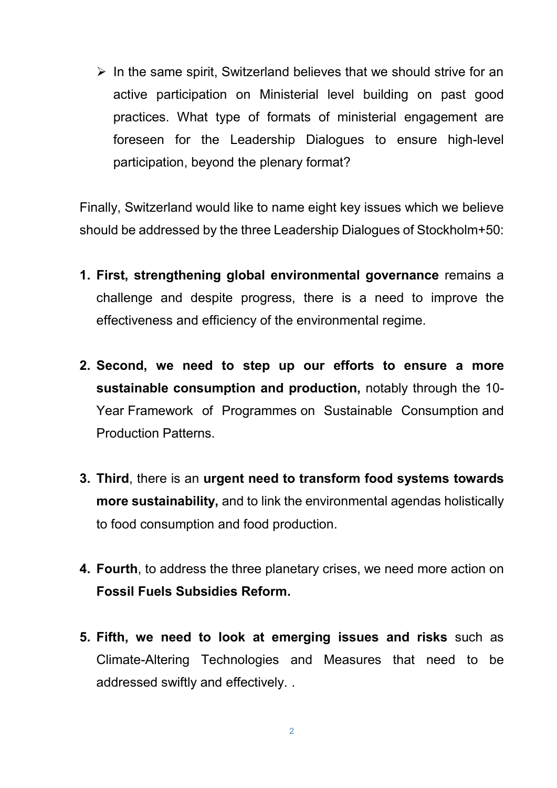$\triangleright$  In the same spirit, Switzerland believes that we should strive for an active participation on Ministerial level building on past good practices. What type of formats of ministerial engagement are foreseen for the Leadership Dialogues to ensure high-level participation, beyond the plenary format?

Finally, Switzerland would like to name eight key issues which we believe should be addressed by the three Leadership Dialogues of Stockholm+50:

- **1. First, strengthening global environmental governance** remains a challenge and despite progress, there is a need to improve the effectiveness and efficiency of the environmental regime.
- **2. Second, we need to step up our efforts to ensure a more sustainable consumption and production,** notably through the 10- Year Framework of Programmes on Sustainable Consumption and Production Patterns.
- **3. Third**, there is an **urgent need to transform food systems towards more sustainability,** and to link the environmental agendas holistically to food consumption and food production.
- **4. Fourth**, to address the three planetary crises, we need more action on **Fossil Fuels Subsidies Reform.**
- **5. Fifth, we need to look at emerging issues and risks** such as Climate-Altering Technologies and Measures that need to be addressed swiftly and effectively. .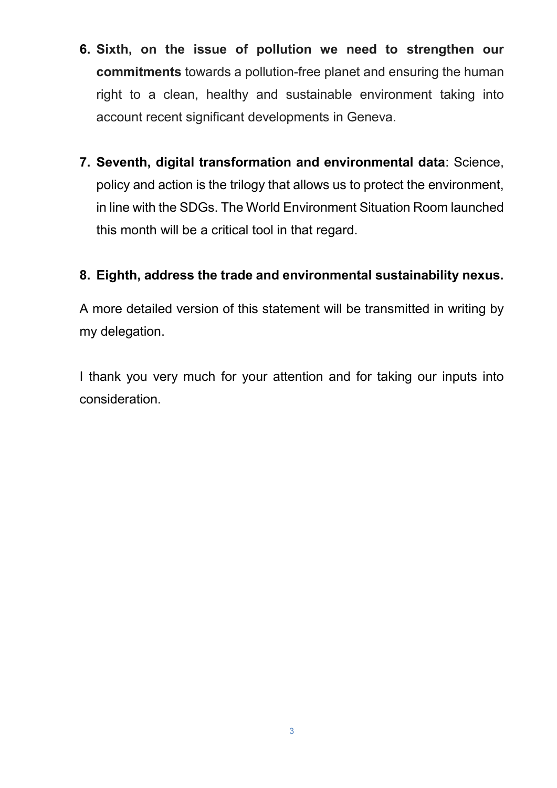- **6. Sixth, on the issue of pollution we need to strengthen our commitments** towards a pollution-free planet and ensuring the human right to a clean, healthy and sustainable environment taking into account recent significant developments in Geneva.
- **7. Seventh, digital transformation and environmental data**: Science, policy and action is the trilogy that allows us to protect the environment, in line with the SDGs. The World Environment Situation Room launched this month will be a critical tool in that regard.

## **8. Eighth, address the trade and environmental sustainability nexus.**

A more detailed version of this statement will be transmitted in writing by my delegation.

I thank you very much for your attention and for taking our inputs into consideration.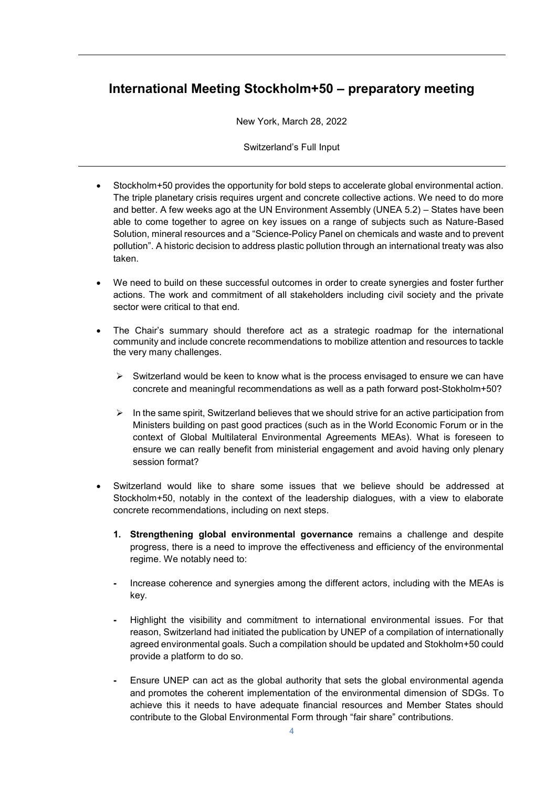## **International Meeting Stockholm+50 – preparatory meeting**

New York, March 28, 2022

Switzerland's Full Input

- Stockholm+50 provides the opportunity for bold steps to accelerate global environmental action. The triple planetary crisis requires urgent and concrete collective actions. We need to do more and better. A few weeks ago at the UN Environment Assembly (UNEA 5.2) – States have been able to come together to agree on key issues on a range of subjects such as Nature-Based Solution, mineral resources and a "Science-Policy Panel on chemicals and waste and to prevent pollution". A historic decision to address plastic pollution through an international treaty was also taken.
- We need to build on these successful outcomes in order to create synergies and foster further actions. The work and commitment of all stakeholders including civil society and the private sector were critical to that end.
- The Chair's summary should therefore act as a strategic roadmap for the international community and include concrete recommendations to mobilize attention and resources to tackle the very many challenges.
	- $\triangleright$  Switzerland would be keen to know what is the process envisaged to ensure we can have concrete and meaningful recommendations as well as a path forward post-Stokholm+50?
	- $\triangleright$  In the same spirit, Switzerland believes that we should strive for an active participation from Ministers building on past good practices (such as in the World Economic Forum or in the context of Global Multilateral Environmental Agreements MEAs). What is foreseen to ensure we can really benefit from ministerial engagement and avoid having only plenary session format?
- Switzerland would like to share some issues that we believe should be addressed at Stockholm+50, notably in the context of the leadership dialogues, with a view to elaborate concrete recommendations, including on next steps.
	- **1. Strengthening global environmental governance** remains a challenge and despite progress, there is a need to improve the effectiveness and efficiency of the environmental regime. We notably need to:
	- **-** Increase coherence and synergies among the different actors, including with the MEAs is key.
	- **-** Highlight the visibility and commitment to international environmental issues. For that reason, Switzerland had initiated the publication by UNEP of a compilation of internationally agreed environmental goals. Such a compilation should be updated and Stokholm+50 could provide a platform to do so.
	- **-** Ensure UNEP can act as the global authority that sets the global environmental agenda and promotes the coherent implementation of the environmental dimension of SDGs. To achieve this it needs to have adequate financial resources and Member States should contribute to the Global Environmental Form through "fair share" contributions.